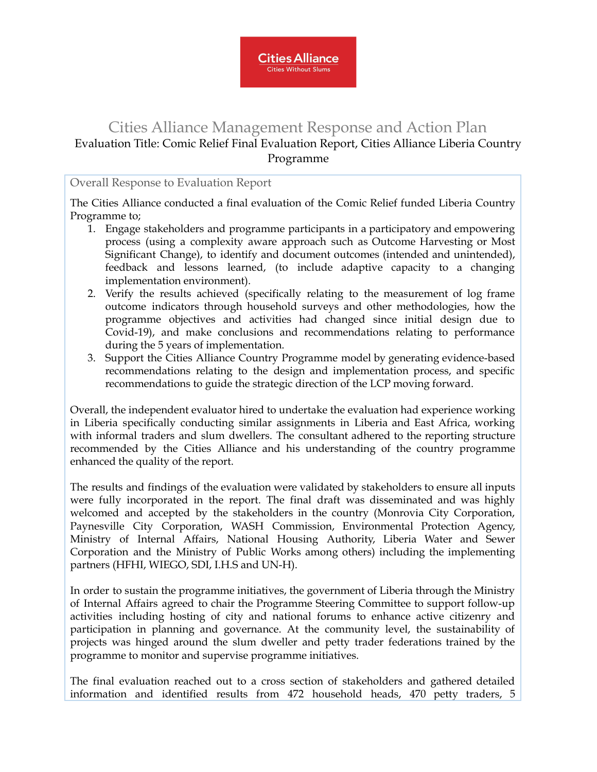

## Cities Alliance Management Response and Action Plan Evaluation Title: Comic Relief Final Evaluation Report, Cities Alliance Liberia Country Programme

## Overall Response to Evaluation Report

The Cities Alliance conducted a final evaluation of the Comic Relief funded Liberia Country Programme to;

- 1. Engage stakeholders and programme participants in a participatory and empowering process (using a complexity aware approach such as Outcome Harvesting or Most Significant Change), to identify and document outcomes (intended and unintended), feedback and lessons learned, (to include adaptive capacity to a changing implementation environment).
- 2. Verify the results achieved (specifically relating to the measurement of log frame outcome indicators through household surveys and other methodologies, how the programme objectives and activities had changed since initial design due to Covid-19), and make conclusions and recommendations relating to performance during the 5 years of implementation.
- 3. Support the Cities Alliance Country Programme model by generating evidence-based recommendations relating to the design and implementation process, and specific recommendations to guide the strategic direction of the LCP moving forward.

Overall, the independent evaluator hired to undertake the evaluation had experience working in Liberia specifically conducting similar assignments in Liberia and East Africa, working with informal traders and slum dwellers. The consultant adhered to the reporting structure recommended by the Cities Alliance and his understanding of the country programme enhanced the quality of the report.

The results and findings of the evaluation were validated by stakeholders to ensure all inputs were fully incorporated in the report. The final draft was disseminated and was highly welcomed and accepted by the stakeholders in the country (Monrovia City Corporation, Paynesville City Corporation, WASH Commission, Environmental Protection Agency, Ministry of Internal Affairs, National Housing Authority, Liberia Water and Sewer Corporation and the Ministry of Public Works among others) including the implementing partners (HFHI, WIEGO, SDI, I.H.S and UN-H).

In order to sustain the programme initiatives, the government of Liberia through the Ministry of Internal Affairs agreed to chair the Programme Steering Committee to support follow-up activities including hosting of city and national forums to enhance active citizenry and participation in planning and governance. At the community level, the sustainability of projects was hinged around the slum dweller and petty trader federations trained by the programme to monitor and supervise programme initiatives.

The final evaluation reached out to a cross section of stakeholders and gathered detailed information and identified results from 472 household heads, 470 petty traders, 5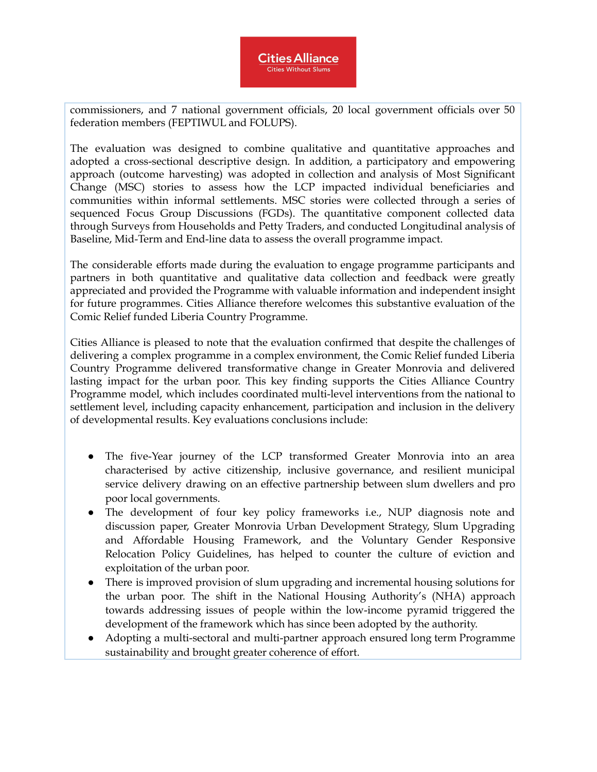

commissioners, and 7 national government officials, 20 local government officials over 50 federation members (FEPTIWUL and FOLUPS).

The evaluation was designed to combine qualitative and quantitative approaches and adopted a cross-sectional descriptive design. In addition, a participatory and empowering approach (outcome harvesting) was adopted in collection and analysis of Most Significant Change (MSC) stories to assess how the LCP impacted individual beneficiaries and communities within informal settlements. MSC stories were collected through a series of sequenced Focus Group Discussions (FGDs). The quantitative component collected data through Surveys from Households and Petty Traders, and conducted Longitudinal analysis of Baseline, Mid-Term and End-line data to assess the overall programme impact.

The considerable efforts made during the evaluation to engage programme participants and partners in both quantitative and qualitative data collection and feedback were greatly appreciated and provided the Programme with valuable information and independent insight for future programmes. Cities Alliance therefore welcomes this substantive evaluation of the Comic Relief funded Liberia Country Programme.

Cities Alliance is pleased to note that the evaluation confirmed that despite the challenges of delivering a complex programme in a complex environment, the Comic Relief funded Liberia Country Programme delivered transformative change in Greater Monrovia and delivered lasting impact for the urban poor. This key finding supports the Cities Alliance Country Programme model, which includes coordinated multi-level interventions from the national to settlement level, including capacity enhancement, participation and inclusion in the delivery of developmental results. Key evaluations conclusions include:

- The five-Year journey of the LCP transformed Greater Monrovia into an area characterised by active citizenship, inclusive governance, and resilient municipal service delivery drawing on an effective partnership between slum dwellers and pro poor local governments.
- The development of four key policy frameworks i.e., NUP diagnosis note and discussion paper, Greater Monrovia Urban Development Strategy, Slum Upgrading and Affordable Housing Framework, and the Voluntary Gender Responsive Relocation Policy Guidelines, has helped to counter the culture of eviction and exploitation of the urban poor.
- There is improved provision of slum upgrading and incremental housing solutions for the urban poor. The shift in the National Housing Authority's (NHA) approach towards addressing issues of people within the low-income pyramid triggered the development of the framework which has since been adopted by the authority.
- Adopting a multi-sectoral and multi-partner approach ensured long term Programme sustainability and brought greater coherence of effort.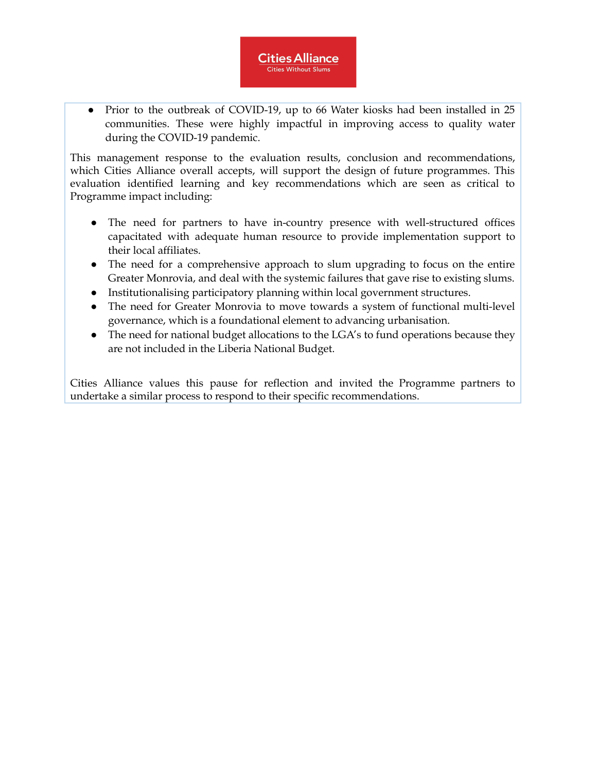• Prior to the outbreak of COVID-19, up to 66 Water kiosks had been installed in 25 communities. These were highly impactful in improving access to quality water during the COVID-19 pandemic.

**Cities Alliance Cities Without Slums** 

This management response to the evaluation results, conclusion and recommendations, which Cities Alliance overall accepts, will support the design of future programmes. This evaluation identified learning and key recommendations which are seen as critical to Programme impact including:

- The need for partners to have in-country presence with well-structured offices capacitated with adequate human resource to provide implementation support to their local affiliates.
- The need for a comprehensive approach to slum upgrading to focus on the entire Greater Monrovia, and deal with the systemic failures that gave rise to existing slums.
- Institutionalising participatory planning within local government structures.
- The need for Greater Monrovia to move towards a system of functional multi-level governance, which is a foundational element to advancing urbanisation.
- The need for national budget allocations to the LGA's to fund operations because they are not included in the Liberia National Budget.

Cities Alliance values this pause for reflection and invited the Programme partners to undertake a similar process to respond to their specific recommendations.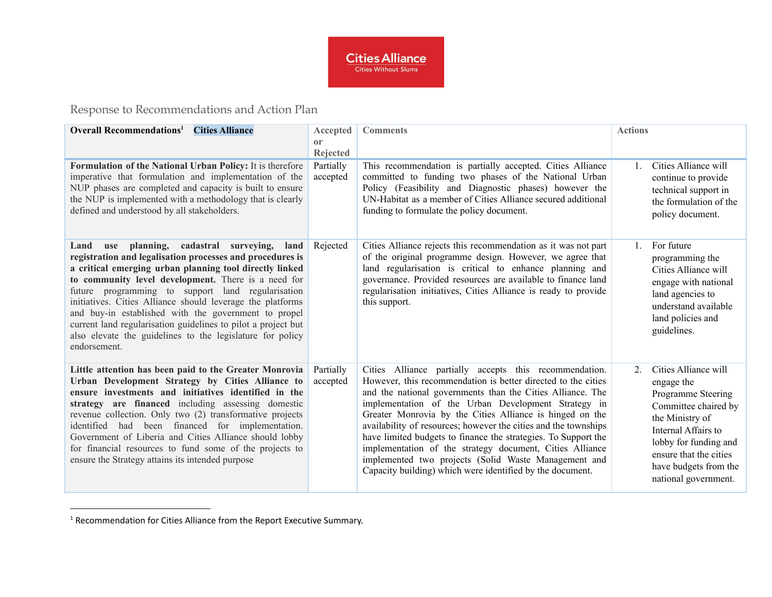

Response to Recommendations and Action Plan

| <b>Overall Recommendations</b> <sup>1</sup><br><b>Cities Alliance</b>                                                                                                                                                                                                                                                                                                                                                                                                                                                                                      | Accepted<br><sub>or</sub><br><b>Rejected</b> | <b>Comments</b>                                                                                                                                                                                                                                                                                                                                                                                                                                                                                                                                                                                                                | <b>Actions</b>   |                                                                                                                                                                                                                                |
|------------------------------------------------------------------------------------------------------------------------------------------------------------------------------------------------------------------------------------------------------------------------------------------------------------------------------------------------------------------------------------------------------------------------------------------------------------------------------------------------------------------------------------------------------------|----------------------------------------------|--------------------------------------------------------------------------------------------------------------------------------------------------------------------------------------------------------------------------------------------------------------------------------------------------------------------------------------------------------------------------------------------------------------------------------------------------------------------------------------------------------------------------------------------------------------------------------------------------------------------------------|------------------|--------------------------------------------------------------------------------------------------------------------------------------------------------------------------------------------------------------------------------|
| Formulation of the National Urban Policy: It is therefore<br>imperative that formulation and implementation of the<br>NUP phases are completed and capacity is built to ensure<br>the NUP is implemented with a methodology that is clearly<br>defined and understood by all stakeholders.                                                                                                                                                                                                                                                                 | Partially<br>accepted                        | This recommendation is partially accepted. Cities Alliance<br>committed to funding two phases of the National Urban<br>Policy (Feasibility and Diagnostic phases) however the<br>UN-Habitat as a member of Cities Alliance secured additional<br>funding to formulate the policy document.                                                                                                                                                                                                                                                                                                                                     |                  | Cities Alliance will<br>continue to provide<br>technical support in<br>the formulation of the<br>policy document.                                                                                                              |
| use planning, cadastral surveying,<br>Land<br>land<br>registration and legalisation processes and procedures is<br>a critical emerging urban planning tool directly linked<br>to community level development. There is a need for<br>future programming to support land regularisation<br>initiatives. Cities Alliance should leverage the platforms<br>and buy-in established with the government to propel<br>current land regularisation guidelines to pilot a project but<br>also elevate the guidelines to the legislature for policy<br>endorsement. | Rejected                                     | Cities Alliance rejects this recommendation as it was not part<br>of the original programme design. However, we agree that<br>land regularisation is critical to enhance planning and<br>governance. Provided resources are available to finance land<br>regularisation initiatives, Cities Alliance is ready to provide<br>this support.                                                                                                                                                                                                                                                                                      |                  | For future<br>programming the<br>Cities Alliance will<br>engage with national<br>land agencies to<br>understand available<br>land policies and<br>guidelines.                                                                  |
| Little attention has been paid to the Greater Monrovia<br>Urban Development Strategy by Cities Alliance to<br>ensure investments and initiatives identified in the<br>strategy are financed including assessing domestic<br>revenue collection. Only two (2) transformative projects<br>identified had been financed for implementation.<br>Government of Liberia and Cities Alliance should lobby<br>for financial resources to fund some of the projects to<br>ensure the Strategy attains its intended purpose                                          | Partially<br>accepted                        | Cities Alliance partially accepts this recommendation.<br>However, this recommendation is better directed to the cities<br>and the national governments than the Cities Alliance. The<br>implementation of the Urban Development Strategy in<br>Greater Monrovia by the Cities Alliance is hinged on the<br>availability of resources; however the cities and the townships<br>have limited budgets to finance the strategies. To Support the<br>implementation of the strategy document, Cities Alliance<br>implemented two projects (Solid Waste Management and<br>Capacity building) which were identified by the document. | $\overline{2}$ . | Cities Alliance will<br>engage the<br>Programme Steering<br>Committee chaired by<br>the Ministry of<br>Internal Affairs to<br>lobby for funding and<br>ensure that the cities<br>have budgets from the<br>national government. |

<sup>&</sup>lt;sup>1</sup> Recommendation for Cities Alliance from the Report Executive Summary.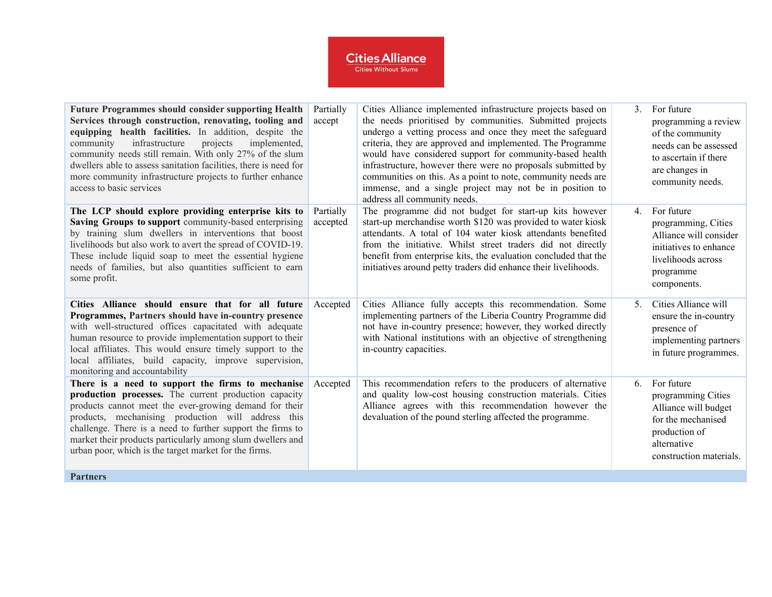## **Cities Alliance**

| <b>Future Programmes should consider supporting Health</b><br>Services through construction, renovating, tooling and<br>equipping health facilities. In addition, despite the<br>infrastructure<br>projects<br>community<br>implemented,<br>community needs still remain. With only 27% of the slum<br>dwellers able to assess sanitation facilities, there is need for<br>more community infrastructure projects to further enhance<br>access to basic services | Partially<br>accept   | Cities Alliance implemented infrastructure projects based on<br>the needs prioritised by communities. Submitted projects<br>undergo a vetting process and once they meet the safeguard<br>criteria, they are approved and implemented. The Programme<br>would have considered support for community-based health<br>infrastructure, however there were no proposals submitted by<br>communities on this. As a point to note, community needs are<br>immense, and a single project may not be in position to<br>address all community needs. | 3 <sub>1</sub> | For future<br>programming a review<br>of the community<br>needs can be assessed<br>to ascertain if there<br>are changes in<br>community needs. |
|------------------------------------------------------------------------------------------------------------------------------------------------------------------------------------------------------------------------------------------------------------------------------------------------------------------------------------------------------------------------------------------------------------------------------------------------------------------|-----------------------|---------------------------------------------------------------------------------------------------------------------------------------------------------------------------------------------------------------------------------------------------------------------------------------------------------------------------------------------------------------------------------------------------------------------------------------------------------------------------------------------------------------------------------------------|----------------|------------------------------------------------------------------------------------------------------------------------------------------------|
| The LCP should explore providing enterprise kits to<br>Saving Groups to support community-based enterprising<br>by training slum dwellers in interventions that boost<br>livelihoods but also work to avert the spread of COVID-19.<br>These include liquid soap to meet the essential hygiene<br>needs of families, but also quantities sufficient to earn<br>some profit.                                                                                      | Partially<br>accepted | The programme did not budget for start-up kits however<br>start-up merchandise worth \$120 was provided to water kiosk<br>attendants. A total of 104 water kiosk attendants benefited<br>from the initiative. Whilst street traders did not directly<br>benefit from enterprise kits, the evaluation concluded that the<br>initiatives around petty traders did enhance their livelihoods.                                                                                                                                                  | 4 <sub>1</sub> | For future<br>programming, Cities<br>Alliance will consider<br>initiatives to enhance<br>livelihoods across<br>programme<br>components.        |
| Cities Alliance should ensure that for all future<br>Programmes, Partners should have in-country presence<br>with well-structured offices capacitated with adequate<br>human resource to provide implementation support to their<br>local affiliates. This would ensure timely support to the<br>local affiliates, build capacity, improve supervision,<br>monitoring and accountability                                                                         | Accepted              | Cities Alliance fully accepts this recommendation. Some<br>implementing partners of the Liberia Country Programme did<br>not have in-country presence; however, they worked directly<br>with National institutions with an objective of strengthening<br>in-country capacities.                                                                                                                                                                                                                                                             | 5 <sub>1</sub> | Cities Alliance will<br>ensure the in-country<br>presence of<br>implementing partners<br>in future programmes.                                 |
| There is a need to support the firms to mechanise<br>production processes. The current production capacity<br>products cannot meet the ever-growing demand for their<br>products, mechanising production will address this<br>challenge. There is a need to further support the firms to<br>market their products particularly among slum dwellers and<br>urban poor, which is the target market for the firms.                                                  | Accepted              | This recommendation refers to the producers of alternative<br>and quality low-cost housing construction materials. Cities<br>Alliance agrees with this recommendation however the<br>devaluation of the pound sterling affected the programme.                                                                                                                                                                                                                                                                                              | 6              | For future<br>programming Cities<br>Alliance will budget<br>for the mechanised<br>production of<br>alternative<br>construction materials.      |
| <b>Partners</b>                                                                                                                                                                                                                                                                                                                                                                                                                                                  |                       |                                                                                                                                                                                                                                                                                                                                                                                                                                                                                                                                             |                |                                                                                                                                                |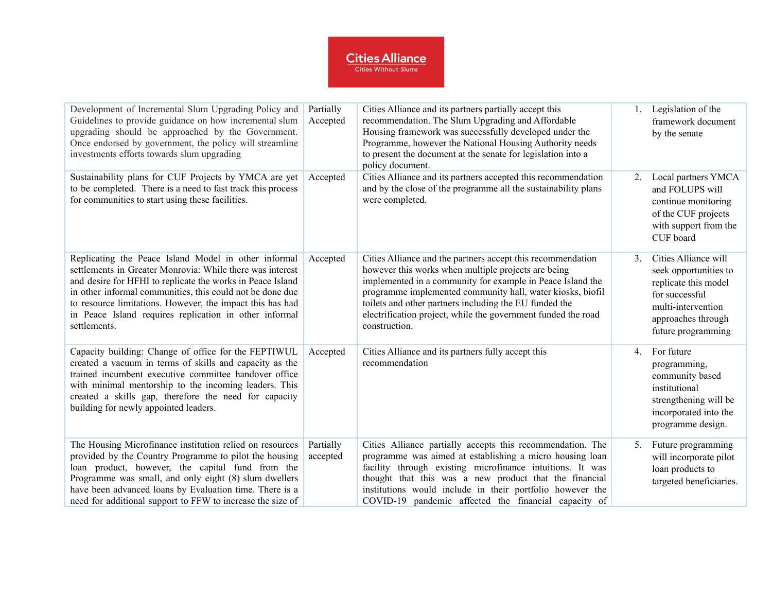## **Cities Alliance**

| Development of Incremental Slum Upgrading Policy and<br>Guidelines to provide guidance on how incremental slum<br>upgrading should be approached by the Government.<br>Once endorsed by government, the policy will streamline<br>investments efforts towards slum upgrading                                                                                                        | Partially<br>Accepted | Cities Alliance and its partners partially accept this<br>recommendation. The Slum Upgrading and Affordable<br>Housing framework was successfully developed under the<br>Programme, however the National Housing Authority needs<br>to present the document at the senate for legislation into a<br>policy document.                                                                       |                | 1. Legislation of the<br>framework document<br>by the senate                                                                                              |
|-------------------------------------------------------------------------------------------------------------------------------------------------------------------------------------------------------------------------------------------------------------------------------------------------------------------------------------------------------------------------------------|-----------------------|--------------------------------------------------------------------------------------------------------------------------------------------------------------------------------------------------------------------------------------------------------------------------------------------------------------------------------------------------------------------------------------------|----------------|-----------------------------------------------------------------------------------------------------------------------------------------------------------|
| Sustainability plans for CUF Projects by YMCA are yet<br>to be completed. There is a need to fast track this process<br>for communities to start using these facilities.                                                                                                                                                                                                            | Accepted              | Cities Alliance and its partners accepted this recommendation<br>and by the close of the programme all the sustainability plans<br>were completed.                                                                                                                                                                                                                                         | 2.             | Local partners YMCA<br>and FOLUPS will<br>continue monitoring<br>of the CUF projects<br>with support from the<br>CUF board                                |
| Replicating the Peace Island Model in other informal<br>settlements in Greater Monrovia: While there was interest<br>and desire for HFHI to replicate the works in Peace Island<br>in other informal communities, this could not be done due<br>to resource limitations. However, the impact this has had<br>in Peace Island requires replication in other informal<br>settlements. | Accepted              | Cities Alliance and the partners accept this recommendation<br>however this works when multiple projects are being<br>implemented in a community for example in Peace Island the<br>programme implemented community hall, water kiosks, biofil<br>toilets and other partners including the EU funded the<br>electrification project, while the government funded the road<br>construction. | 3 <sub>1</sub> | Cities Alliance will<br>seek opportunities to<br>replicate this model<br>for successful<br>multi-intervention<br>approaches through<br>future programming |
| Capacity building: Change of office for the FEPTIWUL<br>created a vacuum in terms of skills and capacity as the<br>trained incumbent executive committee handover office<br>with minimal mentorship to the incoming leaders. This<br>created a skills gap, therefore the need for capacity<br>building for newly appointed leaders.                                                 | Accepted              | Cities Alliance and its partners fully accept this<br>recommendation                                                                                                                                                                                                                                                                                                                       | 4.             | For future<br>programming,<br>community based<br>institutional<br>strengthening will be<br>incorporated into the<br>programme design.                     |
| The Housing Microfinance institution relied on resources<br>provided by the Country Programme to pilot the housing<br>loan product, however, the capital fund from the<br>Programme was small, and only eight (8) slum dwellers<br>have been advanced loans by Evaluation time. There is a<br>need for additional support to FFW to increase the size of                            | Partially<br>accepted | Cities Alliance partially accepts this recommendation. The<br>programme was aimed at establishing a micro housing loan<br>facility through existing microfinance intuitions. It was<br>thought that this was a new product that the financial<br>institutions would include in their portfolio however the<br>COVID-19 pandemic affected the financial capacity of                         | 5.             | Future programming<br>will incorporate pilot<br>loan products to<br>targeted beneficiaries.                                                               |